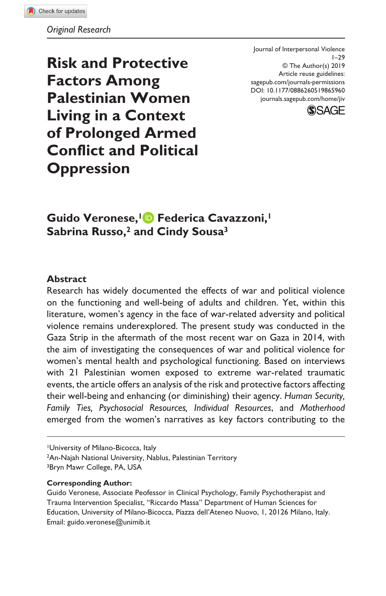*Original Research*

**Risk and Protective Factors Among Palestinian Women Living in a Context of Prolonged Armed Conflict and Political Oppression**

DOI: 10.1177/0886260519865960 Journal of Interpersonal Violence 1–29 © The Author(s) 2019 Article reuse guidelines: [sagepub.com/journals-permissions](https://us.sagepub.com/en-us/journals-permissions) [journals.sagepub.com/home/jiv](https://journals.sagepub.com/home/jiv)



Guido Veronese,<sup>1</sup> Federica Cavazzoni,<sup>1</sup> **Sabrina Russo,2 and Cindy Sousa3**

### **Abstract**

Research has widely documented the effects of war and political violence on the functioning and well-being of adults and children. Yet, within this literature, women's agency in the face of war-related adversity and political violence remains underexplored. The present study was conducted in the Gaza Strip in the aftermath of the most recent war on Gaza in 2014, with the aim of investigating the consequences of war and political violence for women's mental health and psychological functioning. Based on interviews with 21 Palestinian women exposed to extreme war-related traumatic events, the article offers an analysis of the risk and protective factors affecting their well-being and enhancing (or diminishing) their agency. *Human Security, Family Ties, Psychosocial Resources, Individual Resources*, and *Motherhood* emerged from the women's narratives as key factors contributing to the

1University of Milano-Bicocca, Italy

2An-Najah National University, Nablus, Palestinian Territory 3Bryn Mawr College, PA, USA

#### **Corresponding Author:**

Guido Veronese, Associate Peofessor in Clinical Psychology, Family Psychotherapist and Trauma Intervention Specialist, "Riccardo Massa" Department of Human Sciences for Education, University of Milano-Bicocca, Piazza dell'Ateneo Nuovo, 1, 20126 Milano, Italy. Email: [guido.veronese@unimib.it](mailto:guido.veronese@unimib.it)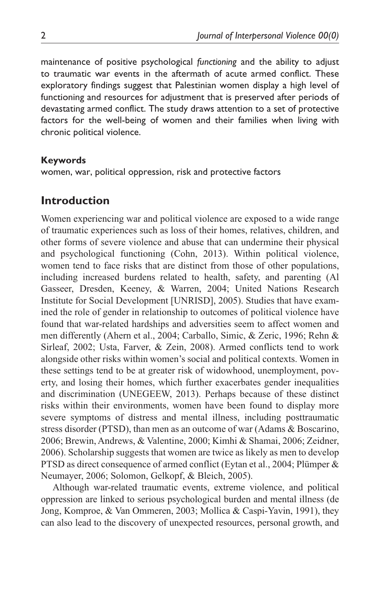maintenance of positive psychological *functioning* and the ability to adjust to traumatic war events in the aftermath of acute armed conflict. These exploratory findings suggest that Palestinian women display a high level of functioning and resources for adjustment that is preserved after periods of devastating armed conflict. The study draws attention to a set of protective factors for the well-being of women and their families when living with chronic political violence.

#### **Keywords**

women, war, political oppression, risk and protective factors

## **Introduction**

Women experiencing war and political violence are exposed to a wide range of traumatic experiences such as loss of their homes, relatives, children, and other forms of severe violence and abuse that can undermine their physical and psychological functioning (Cohn, 2013). Within political violence, women tend to face risks that are distinct from those of other populations, including increased burdens related to health, safety, and parenting (Al Gasseer, Dresden, Keeney, & Warren, 2004; United Nations Research Institute for Social Development [UNRISD], 2005). Studies that have examined the role of gender in relationship to outcomes of political violence have found that war-related hardships and adversities seem to affect women and men differently (Ahern et al., 2004; Carballo, Simic, & Zeric, 1996; Rehn & Sirleaf, 2002; Usta, Farver, & Zein, 2008). Armed conflicts tend to work alongside other risks within women's social and political contexts. Women in these settings tend to be at greater risk of widowhood, unemployment, poverty, and losing their homes, which further exacerbates gender inequalities and discrimination (UNEGEEW, 2013). Perhaps because of these distinct risks within their environments, women have been found to display more severe symptoms of distress and mental illness, including posttraumatic stress disorder (PTSD), than men as an outcome of war (Adams & Boscarino, 2006; Brewin, Andrews, & Valentine, 2000; Kimhi & Shamai, 2006; Zeidner, 2006). Scholarship suggests that women are twice as likely as men to develop PTSD as direct consequence of armed conflict (Eytan et al., 2004; Plümper & Neumayer, 2006; Solomon, Gelkopf, & Bleich, 2005).

Although war-related traumatic events, extreme violence, and political oppression are linked to serious psychological burden and mental illness (de Jong, Komproe, & Van Ommeren, 2003; Mollica & Caspi-Yavin, 1991), they can also lead to the discovery of unexpected resources, personal growth, and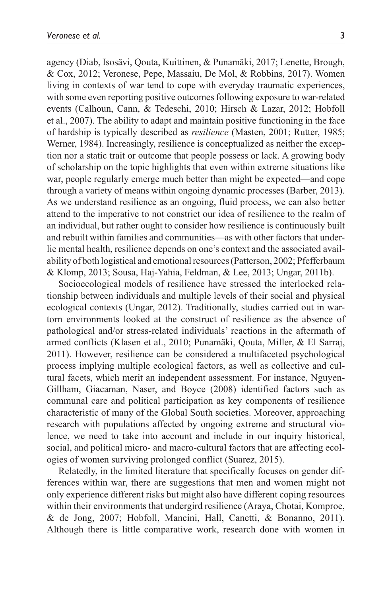agency (Diab, Isosävi, Qouta, Kuittinen, & Punamäki, 2017; Lenette, Brough, & Cox, 2012; Veronese, Pepe, Massaiu, De Mol, & Robbins, 2017). Women living in contexts of war tend to cope with everyday traumatic experiences, with some even reporting positive outcomes following exposure to war-related events (Calhoun, Cann, & Tedeschi, 2010; Hirsch & Lazar, 2012; Hobfoll et al., 2007). The ability to adapt and maintain positive functioning in the face of hardship is typically described as *resilience* (Masten, 2001; Rutter, 1985; Werner, 1984). Increasingly, resilience is conceptualized as neither the exception nor a static trait or outcome that people possess or lack. A growing body of scholarship on the topic highlights that even within extreme situations like war, people regularly emerge much better than might be expected—and cope through a variety of means within ongoing dynamic processes (Barber, 2013). As we understand resilience as an ongoing, fluid process, we can also better attend to the imperative to not constrict our idea of resilience to the realm of an individual, but rather ought to consider how resilience is continuously built and rebuilt within families and communities—as with other factors that underlie mental health, resilience depends on one's context and the associated availability of both logistical and emotional resources (Patterson, 2002; Pfefferbaum & Klomp, 2013; Sousa, Haj-Yahia, Feldman, & Lee, 2013; Ungar, 2011b).

Socioecological models of resilience have stressed the interlocked relationship between individuals and multiple levels of their social and physical ecological contexts (Ungar, 2012). Traditionally, studies carried out in wartorn environments looked at the construct of resilience as the absence of pathological and/or stress-related individuals' reactions in the aftermath of armed conflicts (Klasen et al., 2010; Punamäki, Qouta, Miller, & El Sarraj, 2011). However, resilience can be considered a multifaceted psychological process implying multiple ecological factors, as well as collective and cultural facets, which merit an independent assessment. For instance, Nguyen-Gillham, Giacaman, Naser, and Boyce (2008) identified factors such as communal care and political participation as key components of resilience characteristic of many of the Global South societies. Moreover, approaching research with populations affected by ongoing extreme and structural violence, we need to take into account and include in our inquiry historical, social, and political micro- and macro-cultural factors that are affecting ecologies of women surviving prolonged conflict (Suarez, 2015).

Relatedly, in the limited literature that specifically focuses on gender differences within war, there are suggestions that men and women might not only experience different risks but might also have different coping resources within their environments that undergird resilience (Araya, Chotai, Komproe, & de Jong, 2007; Hobfoll, Mancini, Hall, Canetti, & Bonanno, 2011). Although there is little comparative work, research done with women in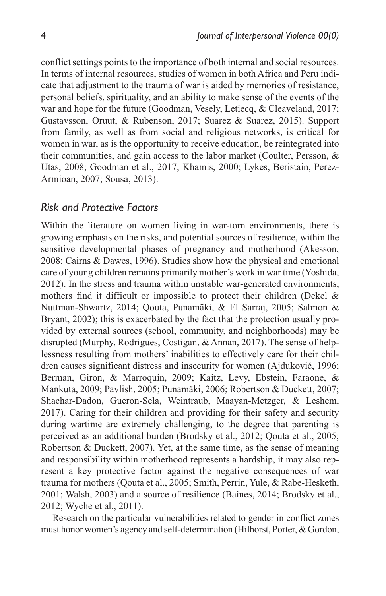conflict settings points to the importance of both internal and social resources. In terms of internal resources, studies of women in both Africa and Peru indicate that adjustment to the trauma of war is aided by memories of resistance, personal beliefs, spirituality, and an ability to make sense of the events of the war and hope for the future (Goodman, Vesely, Letiecq, & Cleaveland, 2017; Gustavsson, Oruut, & Rubenson, 2017; Suarez & Suarez, 2015). Support from family, as well as from social and religious networks, is critical for women in war, as is the opportunity to receive education, be reintegrated into their communities, and gain access to the labor market (Coulter, Persson, & Utas, 2008; Goodman et al., 2017; Khamis, 2000; Lykes, Beristain, Perez-Armioan, 2007; Sousa, 2013).

## *Risk and Protective Factors*

Within the literature on women living in war-torn environments, there is growing emphasis on the risks, and potential sources of resilience, within the sensitive developmental phases of pregnancy and motherhood (Akesson, 2008; Cairns & Dawes, 1996). Studies show how the physical and emotional care of young children remains primarily mother's work in war time (Yoshida, 2012). In the stress and trauma within unstable war-generated environments, mothers find it difficult or impossible to protect their children (Dekel & Nuttman-Shwartz, 2014; Qouta, Punamäki, & El Sarraj, 2005; Salmon & Bryant, 2002); this is exacerbated by the fact that the protection usually provided by external sources (school, community, and neighborhoods) may be disrupted (Murphy, Rodrigues, Costigan, & Annan, 2017). The sense of helplessness resulting from mothers' inabilities to effectively care for their children causes significant distress and insecurity for women (Ajduković, 1996; Berman, Giron, & Marroquin, 2009; Kaitz, Levy, Ebstein, Faraone, & Mankuta, 2009; Pavlish, 2005; Punamäki, 2006; Robertson & Duckett, 2007; Shachar-Dadon, Gueron-Sela, Weintraub, Maayan-Metzger, & Leshem, 2017). Caring for their children and providing for their safety and security during wartime are extremely challenging, to the degree that parenting is perceived as an additional burden (Brodsky et al., 2012; Qouta et al., 2005; Robertson & Duckett, 2007). Yet, at the same time, as the sense of meaning and responsibility within motherhood represents a hardship, it may also represent a key protective factor against the negative consequences of war trauma for mothers (Qouta et al., 2005; Smith, Perrin, Yule, & Rabe-Hesketh, 2001; Walsh, 2003) and a source of resilience (Baines, 2014; Brodsky et al., 2012; Wyche et al., 2011).

Research on the particular vulnerabilities related to gender in conflict zones must honor women's agency and self-determination (Hilhorst, Porter, & Gordon,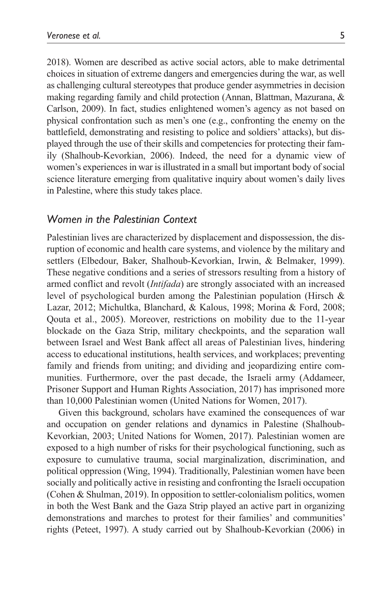2018). Women are described as active social actors, able to make detrimental choices in situation of extreme dangers and emergencies during the war, as well as challenging cultural stereotypes that produce gender asymmetries in decision making regarding family and child protection (Annan, Blattman, Mazurana, & Carlson, 2009). In fact, studies enlightened women's agency as not based on physical confrontation such as men's one (e.g., confronting the enemy on the battlefield, demonstrating and resisting to police and soldiers' attacks), but displayed through the use of their skills and competencies for protecting their family (Shalhoub-Kevorkian, 2006). Indeed, the need for a dynamic view of women's experiences in war is illustrated in a small but important body of social science literature emerging from qualitative inquiry about women's daily lives in Palestine, where this study takes place.

### *Women in the Palestinian Context*

Palestinian lives are characterized by displacement and dispossession, the disruption of economic and health care systems, and violence by the military and settlers (Elbedour, Baker, Shalhoub-Kevorkian, Irwin, & Belmaker, 1999). These negative conditions and a series of stressors resulting from a history of armed conflict and revolt (*Intifada*) are strongly associated with an increased level of psychological burden among the Palestinian population (Hirsch & Lazar, 2012; Michultka, Blanchard, & Kalous, 1998; Morina & Ford, 2008; Qouta et al., 2005). Moreover, restrictions on mobility due to the 11-year blockade on the Gaza Strip, military checkpoints, and the separation wall between Israel and West Bank affect all areas of Palestinian lives, hindering access to educational institutions, health services, and workplaces; preventing family and friends from uniting; and dividing and jeopardizing entire communities. Furthermore, over the past decade, the Israeli army (Addameer, Prisoner Support and Human Rights Association, 2017) has imprisoned more than 10,000 Palestinian women (United Nations for Women, 2017).

Given this background, scholars have examined the consequences of war and occupation on gender relations and dynamics in Palestine (Shalhoub-Kevorkian, 2003; United Nations for Women, 2017). Palestinian women are exposed to a high number of risks for their psychological functioning, such as exposure to cumulative trauma, social marginalization, discrimination, and political oppression (Wing, 1994). Traditionally, Palestinian women have been socially and politically active in resisting and confronting the Israeli occupation (Cohen & Shulman, 2019). In opposition to settler-colonialism politics, women in both the West Bank and the Gaza Strip played an active part in organizing demonstrations and marches to protest for their families' and communities' rights (Peteet, 1997). A study carried out by Shalhoub-Kevorkian (2006) in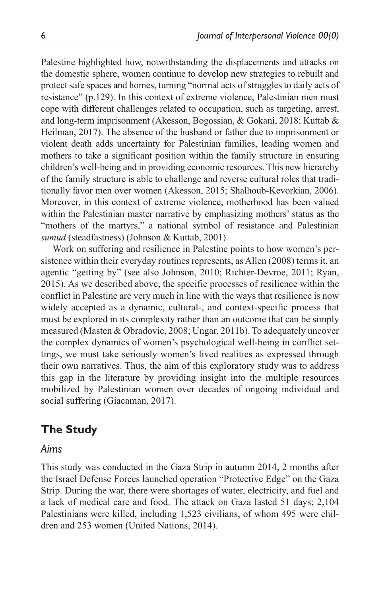Palestine highlighted how, notwithstanding the displacements and attacks on the domestic sphere, women continue to develop new strategies to rebuilt and protect safe spaces and homes, turning "normal acts of struggles to daily acts of resistance" (p.129). In this context of extreme violence, Palestinian men must cope with different challenges related to occupation, such as targeting, arrest, and long-term imprisonment (Akesson, Bogossian, & Gokani, 2018; Kuttab & Heilman, 2017). The absence of the husband or father due to imprisonment or violent death adds uncertainty for Palestinian families, leading women and mothers to take a significant position within the family structure in ensuring children's well-being and in providing economic resources. This new hierarchy of the family structure is able to challenge and reverse cultural roles that traditionally favor men over women (Akesson, 2015; Shalhoub-Kevorkian, 2006). Moreover, in this context of extreme violence, motherhood has been valued within the Palestinian master narrative by emphasizing mothers' status as the "mothers of the martyrs," a national symbol of resistance and Palestinian *sumud* (steadfastness) (Johnson & Kuttab, 2001).

Work on suffering and resilience in Palestine points to how women's persistence within their everyday routines represents, as Allen (2008) terms it, an agentic "getting by" (see also Johnson, 2010; Richter-Devroe, 2011; Ryan, 2015). As we described above, the specific processes of resilience within the conflict in Palestine are very much in line with the ways that resilience is now widely accepted as a dynamic, cultural-, and context-specific process that must be explored in its complexity rather than an outcome that can be simply measured (Masten & Obradovic, 2008; Ungar, 2011b). To adequately uncover the complex dynamics of women's psychological well-being in conflict settings, we must take seriously women's lived realities as expressed through their own narratives. Thus, the aim of this exploratory study was to address this gap in the literature by providing insight into the multiple resources mobilized by Palestinian women over decades of ongoing individual and social suffering (Giacaman, 2017).

# **The Study**

## *Aims*

This study was conducted in the Gaza Strip in autumn 2014, 2 months after the Israel Defense Forces launched operation "Protective Edge" on the Gaza Strip. During the war, there were shortages of water, electricity, and fuel and a lack of medical care and food. The attack on Gaza lasted 51 days; 2,104 Palestinians were killed, including 1,523 civilians, of whom 495 were children and 253 women (United Nations, 2014).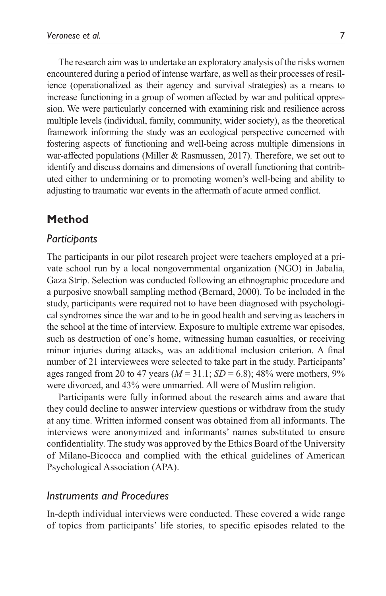The research aim was to undertake an exploratory analysis of the risks women encountered during a period of intense warfare, as well as their processes of resilience (operationalized as their agency and survival strategies) as a means to increase functioning in a group of women affected by war and political oppression. We were particularly concerned with examining risk and resilience across multiple levels (individual, family, community, wider society), as the theoretical framework informing the study was an ecological perspective concerned with fostering aspects of functioning and well-being across multiple dimensions in war-affected populations (Miller & Rasmussen, 2017). Therefore, we set out to identify and discuss domains and dimensions of overall functioning that contributed either to undermining or to promoting women's well-being and ability to adjusting to traumatic war events in the aftermath of acute armed conflict.

## **Method**

### *Participants*

The participants in our pilot research project were teachers employed at a private school run by a local nongovernmental organization (NGO) in Jabalia, Gaza Strip. Selection was conducted following an ethnographic procedure and a purposive snowball sampling method (Bernard, 2000). To be included in the study, participants were required not to have been diagnosed with psychological syndromes since the war and to be in good health and serving as teachers in the school at the time of interview. Exposure to multiple extreme war episodes, such as destruction of one's home, witnessing human casualties, or receiving minor injuries during attacks, was an additional inclusion criterion. A final number of 21 interviewees were selected to take part in the study. Participants' ages ranged from 20 to 47 years ( $M = 31.1$ ;  $SD = 6.8$ ); 48% were mothers, 9% were divorced, and 43% were unmarried. All were of Muslim religion.

Participants were fully informed about the research aims and aware that they could decline to answer interview questions or withdraw from the study at any time. Written informed consent was obtained from all informants. The interviews were anonymized and informants' names substituted to ensure confidentiality. The study was approved by the Ethics Board of the University of Milano-Bicocca and complied with the ethical guidelines of American Psychological Association (APA).

## *Instruments and Procedures*

In-depth individual interviews were conducted. These covered a wide range of topics from participants' life stories, to specific episodes related to the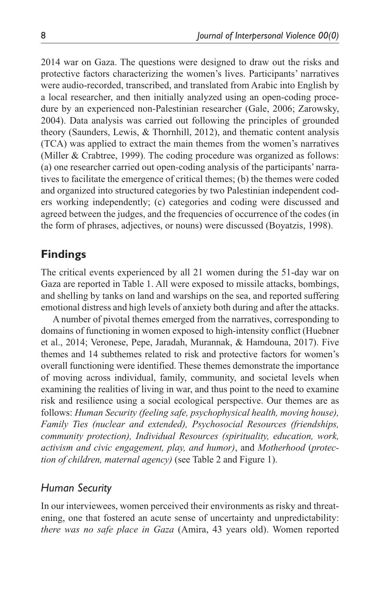2014 war on Gaza. The questions were designed to draw out the risks and protective factors characterizing the women's lives. Participants' narratives were audio-recorded, transcribed, and translated from Arabic into English by a local researcher, and then initially analyzed using an open-coding procedure by an experienced non-Palestinian researcher (Gale, 2006; Zarowsky, 2004). Data analysis was carried out following the principles of grounded theory (Saunders, Lewis, & Thornhill, 2012), and thematic content analysis (TCA) was applied to extract the main themes from the women's narratives (Miller & Crabtree, 1999). The coding procedure was organized as follows: (a) one researcher carried out open-coding analysis of the participants' narratives to facilitate the emergence of critical themes; (b) the themes were coded and organized into structured categories by two Palestinian independent coders working independently; (c) categories and coding were discussed and agreed between the judges, and the frequencies of occurrence of the codes (in the form of phrases, adjectives, or nouns) were discussed (Boyatzis, 1998).

# **Findings**

The critical events experienced by all 21 women during the 51-day war on Gaza are reported in Table 1. All were exposed to missile attacks, bombings, and shelling by tanks on land and warships on the sea, and reported suffering emotional distress and high levels of anxiety both during and after the attacks.

A number of pivotal themes emerged from the narratives, corresponding to domains of functioning in women exposed to high-intensity conflict (Huebner et al., 2014; Veronese, Pepe, Jaradah, Murannak, & Hamdouna, 2017). Five themes and 14 subthemes related to risk and protective factors for women's overall functioning were identified. These themes demonstrate the importance of moving across individual, family, community, and societal levels when examining the realities of living in war, and thus point to the need to examine risk and resilience using a social ecological perspective. Our themes are as follows: *Human Security (feeling safe, psychophysical health, moving house), Family Ties (nuclear and extended), Psychosocial Resources (friendships, community protection), Individual Resources (spirituality, education, work, activism and civic engagement, play, and humor)*, and *Motherhood* (*protection of children, maternal agency)* (see Table 2 and Figure 1).

## *Human Security*

In our interviewees, women perceived their environments as risky and threatening, one that fostered an acute sense of uncertainty and unpredictability: *there was no safe place in Gaza* (Amira, 43 years old). Women reported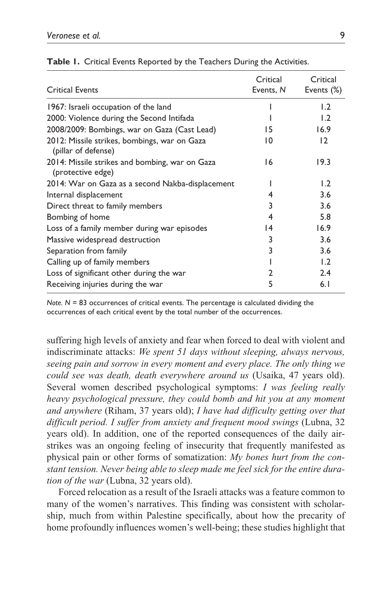| <b>Critical Events</b>                                              | Critical<br>Events, N | Critical<br>Events (%) |
|---------------------------------------------------------------------|-----------------------|------------------------|
| 1967: Israeli occupation of the land                                |                       | 1.2                    |
| 2000: Violence during the Second Intifada                           |                       | 1.2                    |
| 2008/2009: Bombings, war on Gaza (Cast Lead)                        | 15                    | 16.9                   |
| 2012: Missile strikes, bombings, war on Gaza<br>(pillar of defense) | 10                    | 12                     |
| 2014: Missile strikes and bombing, war on Gaza<br>(protective edge) | 16                    | 19.3                   |
| 2014: War on Gaza as a second Nakba-displacement                    |                       | 1.2                    |
| Internal displacement                                               | 4                     | 3.6                    |
| Direct threat to family members                                     | 3                     | 3.6                    |
| Bombing of home                                                     | 4                     | 5.8                    |
| Loss of a family member during war episodes                         | 14                    | 16.9                   |
| Massive widespread destruction                                      | 3                     | 3.6                    |
| Separation from family                                              | 3                     | 3.6                    |
| Calling up of family members                                        |                       | 1.2                    |
| Loss of significant other during the war                            | 2                     | 2.4                    |
| Receiving injuries during the war                                   | 5                     | 6.1                    |

**Table 1.** Critical Events Reported by the Teachers During the Activities.

*Note.*  $N = 83$  occurrences of critical events. The percentage is calculated dividing the occurrences of each critical event by the total number of the occurrences.

suffering high levels of anxiety and fear when forced to deal with violent and indiscriminate attacks: *We spent 51 days without sleeping, always nervous, seeing pain and sorrow in every moment and every place. The only thing we could see was death, death everywhere around us* (Usaika, 47 years old). Several women described psychological symptoms: *I was feeling really heavy psychological pressure, they could bomb and hit you at any moment and anywhere* (Riham, 37 years old); *I have had difficulty getting over that difficult period. I suffer from anxiety and frequent mood swings* (Lubna, 32 years old). In addition, one of the reported consequences of the daily airstrikes was an ongoing feeling of insecurity that frequently manifested as physical pain or other forms of somatization: *My bones hurt from the constant tension. Never being able to sleep made me feel sick for the entire duration of the war* (Lubna, 32 years old).

Forced relocation as a result of the Israeli attacks was a feature common to many of the women's narratives. This finding was consistent with scholarship, much from within Palestine specifically, about how the precarity of home profoundly influences women's well-being; these studies highlight that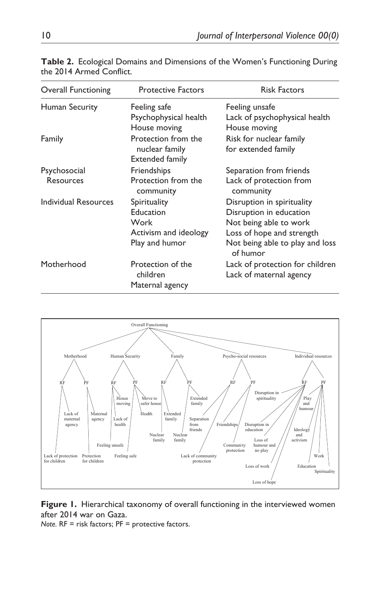| Overall Functioning  | <b>Protective Factors</b>        | <b>Risk Factors</b>                                        |
|----------------------|----------------------------------|------------------------------------------------------------|
| Human Security       | Feeling safe                     | Feeling unsafe                                             |
|                      | Psychophysical health            | Lack of psychophysical health                              |
|                      | House moving                     | House moving                                               |
| Family               | Protection from the              | Risk for nuclear family                                    |
|                      | nuclear family                   | for extended family                                        |
|                      | Extended family                  |                                                            |
| Psychosocial         | Friendships                      | Separation from friends                                    |
| Resources            | Protection from the<br>community | Lack of protection from<br>community                       |
| Individual Resources | Spirituality                     | Disruption in spirituality                                 |
|                      | Education                        | Disruption in education                                    |
|                      | Work                             | Not being able to work                                     |
|                      | Activism and ideology            | Loss of hope and strength                                  |
|                      | Play and humor                   | Not being able to play and loss<br>of humor                |
| Motherhood           | Protection of the<br>children    | Lack of protection for children<br>Lack of maternal agency |
|                      | Maternal agency                  |                                                            |

**Table 2.** Ecological Domains and Dimensions of the Women's Functioning During the 2014 Armed Conflict.



Figure 1. Hierarchical taxonomy of overall functioning in the interviewed women after 2014 war on Gaza.

*Note.* RF = risk factors; PF = protective factors.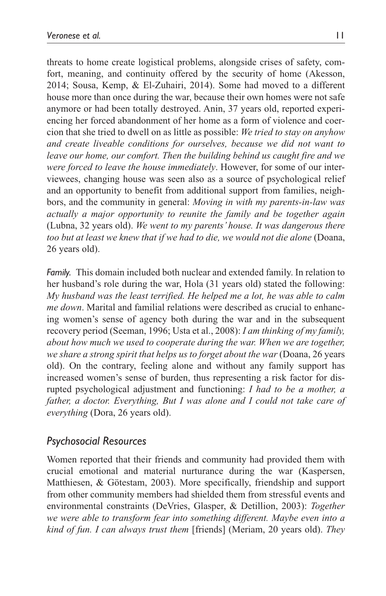threats to home create logistical problems, alongside crises of safety, comfort, meaning, and continuity offered by the security of home (Akesson, 2014; Sousa, Kemp, & El-Zuhairi, 2014). Some had moved to a different house more than once during the war, because their own homes were not safe anymore or had been totally destroyed. Anin, 37 years old, reported experiencing her forced abandonment of her home as a form of violence and coercion that she tried to dwell on as little as possible: *We tried to stay on anyhow and create liveable conditions for ourselves, because we did not want to leave our home, our comfort. Then the building behind us caught fire and we were forced to leave the house immediately*. However, for some of our interviewees, changing house was seen also as a source of psychological relief and an opportunity to benefit from additional support from families, neighbors, and the community in general: *Moving in with my parents-in-law was actually a major opportunity to reunite the family and be together again* (Lubna, 32 years old). *We went to my parents' house. It was dangerous there too but at least we knew that if we had to die, we would not die alone* (Doana, 26 years old).

*Family.* This domain included both nuclear and extended family. In relation to her husband's role during the war, Hola (31 years old) stated the following: *My husband was the least terrified. He helped me a lot, he was able to calm me down*. Marital and familial relations were described as crucial to enhancing women's sense of agency both during the war and in the subsequent recovery period (Seeman, 1996; Usta et al., 2008): *I am thinking of my family, about how much we used to cooperate during the war. When we are together, we share a strong spirit that helps us to forget about the war* (Doana, 26 years old). On the contrary, feeling alone and without any family support has increased women's sense of burden, thus representing a risk factor for disrupted psychological adjustment and functioning: *I had to be a mother, a father, a doctor. Everything, But I was alone and I could not take care of everything* (Dora, 26 years old).

# *Psychosocial Resources*

Women reported that their friends and community had provided them with crucial emotional and material nurturance during the war (Kaspersen, Matthiesen, & Götestam, 2003). More specifically, friendship and support from other community members had shielded them from stressful events and environmental constraints (DeVries, Glasper, & Detillion, 2003): *Together we were able to transform fear into something different. Maybe even into a kind of fun. I can always trust them* [friends] (Meriam, 20 years old). *They*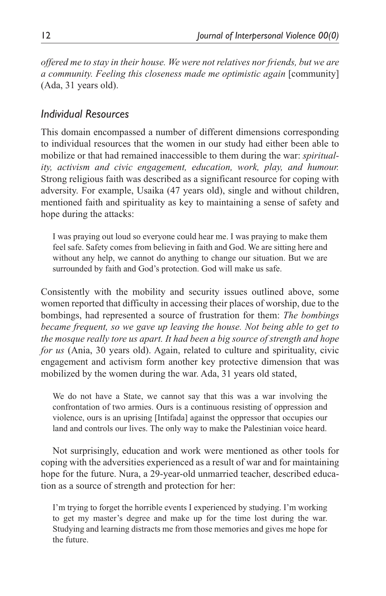*offered me to stay in their house. We were not relatives nor friends, but we are a community. Feeling this closeness made me optimistic again* [community] (Ada, 31 years old).

## *Individual Resources*

This domain encompassed a number of different dimensions corresponding to individual resources that the women in our study had either been able to mobilize or that had remained inaccessible to them during the war: *spirituality, activism and civic engagement, education, work, play, and humour.* Strong religious faith was described as a significant resource for coping with adversity. For example, Usaika (47 years old), single and without children, mentioned faith and spirituality as key to maintaining a sense of safety and hope during the attacks:

I was praying out loud so everyone could hear me. I was praying to make them feel safe. Safety comes from believing in faith and God. We are sitting here and without any help, we cannot do anything to change our situation. But we are surrounded by faith and God's protection. God will make us safe.

Consistently with the mobility and security issues outlined above, some women reported that difficulty in accessing their places of worship, due to the bombings, had represented a source of frustration for them: *The bombings became frequent, so we gave up leaving the house. Not being able to get to the mosque really tore us apart. It had been a big source of strength and hope for us* (Ania, 30 years old). Again, related to culture and spirituality, civic engagement and activism form another key protective dimension that was mobilized by the women during the war. Ada, 31 years old stated,

We do not have a State, we cannot say that this was a war involving the confrontation of two armies. Ours is a continuous resisting of oppression and violence, ours is an uprising [Intifada] against the oppressor that occupies our land and controls our lives. The only way to make the Palestinian voice heard.

Not surprisingly, education and work were mentioned as other tools for coping with the adversities experienced as a result of war and for maintaining hope for the future. Nura, a 29-year-old unmarried teacher, described education as a source of strength and protection for her:

I'm trying to forget the horrible events I experienced by studying. I'm working to get my master's degree and make up for the time lost during the war. Studying and learning distracts me from those memories and gives me hope for the future.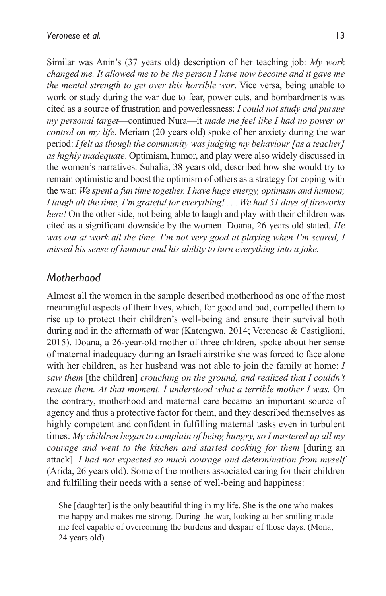Similar was Anin's (37 years old) description of her teaching job: *My work changed me. It allowed me to be the person I have now become and it gave me the mental strength to get over this horrible war*. Vice versa, being unable to work or study during the war due to fear, power cuts, and bombardments was cited as a source of frustration and powerlessness: *I could not study and pursue my personal target*—continued Nura—it *made me feel like I had no power or control on my life*. Meriam (20 years old) spoke of her anxiety during the war period: *I felt as though the community was judging my behaviour [as a teacher] as highly inadequate*. Optimism, humor, and play were also widely discussed in the women's narratives. Suhalia, 38 years old, described how she would try to remain optimistic and boost the optimism of others as a strategy for coping with the war: *We spent a fun time together. I have huge energy, optimism and humour, I laugh all the time, I'm grateful for everything! . . . We had 51 days of fireworks here!* On the other side, not being able to laugh and play with their children was cited as a significant downside by the women. Doana, 26 years old stated, *He was out at work all the time. I'm not very good at playing when I'm scared, I missed his sense of humour and his ability to turn everything into a joke.*

## *Motherhood*

Almost all the women in the sample described motherhood as one of the most meaningful aspects of their lives, which, for good and bad, compelled them to rise up to protect their children's well-being and ensure their survival both during and in the aftermath of war (Katengwa, 2014; Veronese & Castiglioni, 2015). Doana, a 26-year-old mother of three children, spoke about her sense of maternal inadequacy during an Israeli airstrike she was forced to face alone with her children, as her husband was not able to join the family at home: *I saw them* [the children] *crouching on the ground, and realized that I couldn't rescue them. At that moment, I understood what a terrible mother I was.* On the contrary, motherhood and maternal care became an important source of agency and thus a protective factor for them, and they described themselves as highly competent and confident in fulfilling maternal tasks even in turbulent times: *My children began to complain of being hungry, so I mustered up all my courage and went to the kitchen and started cooking for them* [during an attack]. *I had not expected so much courage and determination from myself* (Arida, 26 years old). Some of the mothers associated caring for their children and fulfilling their needs with a sense of well-being and happiness:

She [daughter] is the only beautiful thing in my life. She is the one who makes me happy and makes me strong. During the war, looking at her smiling made me feel capable of overcoming the burdens and despair of those days. (Mona, 24 years old)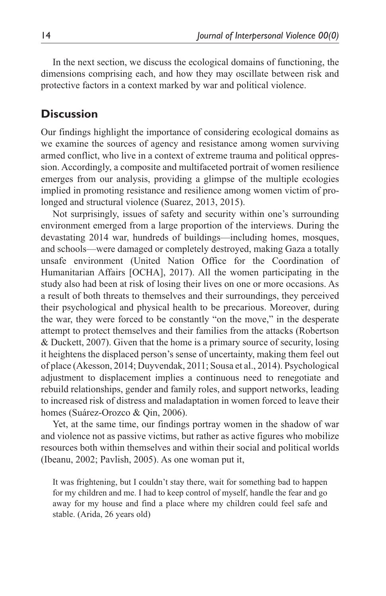In the next section, we discuss the ecological domains of functioning, the dimensions comprising each, and how they may oscillate between risk and protective factors in a context marked by war and political violence.

# **Discussion**

Our findings highlight the importance of considering ecological domains as we examine the sources of agency and resistance among women surviving armed conflict, who live in a context of extreme trauma and political oppression. Accordingly, a composite and multifaceted portrait of women resilience emerges from our analysis, providing a glimpse of the multiple ecologies implied in promoting resistance and resilience among women victim of prolonged and structural violence (Suarez, 2013, 2015).

Not surprisingly, issues of safety and security within one's surrounding environment emerged from a large proportion of the interviews. During the devastating 2014 war, hundreds of buildings—including homes, mosques, and schools—were damaged or completely destroyed, making Gaza a totally unsafe environment (United Nation Office for the Coordination of Humanitarian Affairs [OCHA], 2017). All the women participating in the study also had been at risk of losing their lives on one or more occasions. As a result of both threats to themselves and their surroundings, they perceived their psychological and physical health to be precarious. Moreover, during the war, they were forced to be constantly "on the move," in the desperate attempt to protect themselves and their families from the attacks (Robertson & Duckett, 2007). Given that the home is a primary source of security, losing it heightens the displaced person's sense of uncertainty, making them feel out of place (Akesson, 2014; Duyvendak, 2011; Sousa et al., 2014). Psychological adjustment to displacement implies a continuous need to renegotiate and rebuild relationships, gender and family roles, and support networks, leading to increased risk of distress and maladaptation in women forced to leave their homes (Suárez-Orozco & Qin, 2006).

Yet, at the same time, our findings portray women in the shadow of war and violence not as passive victims, but rather as active figures who mobilize resources both within themselves and within their social and political worlds (Ibeanu, 2002; Pavlish, 2005). As one woman put it,

It was frightening, but I couldn't stay there, wait for something bad to happen for my children and me. I had to keep control of myself, handle the fear and go away for my house and find a place where my children could feel safe and stable. (Arida, 26 years old)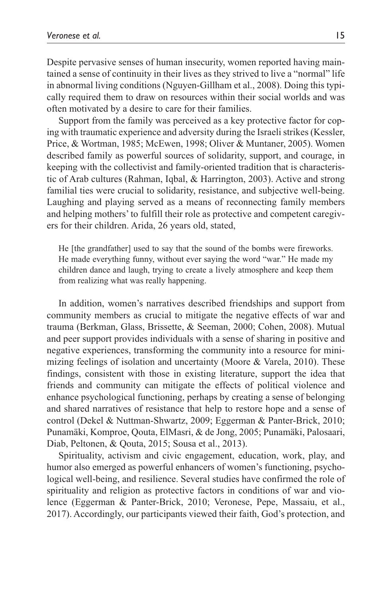Despite pervasive senses of human insecurity, women reported having maintained a sense of continuity in their lives as they strived to live a "normal" life in abnormal living conditions (Nguyen-Gillham et al., 2008). Doing this typically required them to draw on resources within their social worlds and was often motivated by a desire to care for their families.

Support from the family was perceived as a key protective factor for coping with traumatic experience and adversity during the Israeli strikes (Kessler, Price, & Wortman, 1985; McEwen, 1998; Oliver & Muntaner, 2005). Women described family as powerful sources of solidarity, support, and courage, in keeping with the collectivist and family-oriented tradition that is characteristic of Arab cultures (Rahman, Iqbal, & Harrington, 2003). Active and strong familial ties were crucial to solidarity, resistance, and subjective well-being. Laughing and playing served as a means of reconnecting family members and helping mothers' to fulfill their role as protective and competent caregivers for their children. Arida, 26 years old, stated,

He [the grandfather] used to say that the sound of the bombs were fireworks. He made everything funny, without ever saying the word "war." He made my children dance and laugh, trying to create a lively atmosphere and keep them from realizing what was really happening.

In addition, women's narratives described friendships and support from community members as crucial to mitigate the negative effects of war and trauma (Berkman, Glass, Brissette, & Seeman, 2000; Cohen, 2008). Mutual and peer support provides individuals with a sense of sharing in positive and negative experiences, transforming the community into a resource for minimizing feelings of isolation and uncertainty (Moore & Varela, 2010). These findings, consistent with those in existing literature, support the idea that friends and community can mitigate the effects of political violence and enhance psychological functioning, perhaps by creating a sense of belonging and shared narratives of resistance that help to restore hope and a sense of control (Dekel & Nuttman-Shwartz, 2009; Eggerman & Panter-Brick, 2010; Punamäki, Komproe, Qouta, ElMasri, & de Jong, 2005; Punamäki, Palosaari, Diab, Peltonen, & Qouta, 2015; Sousa et al., 2013).

Spirituality, activism and civic engagement, education, work, play, and humor also emerged as powerful enhancers of women's functioning, psychological well-being, and resilience. Several studies have confirmed the role of spirituality and religion as protective factors in conditions of war and violence (Eggerman & Panter-Brick, 2010; Veronese, Pepe, Massaiu, et al., 2017). Accordingly, our participants viewed their faith, God's protection, and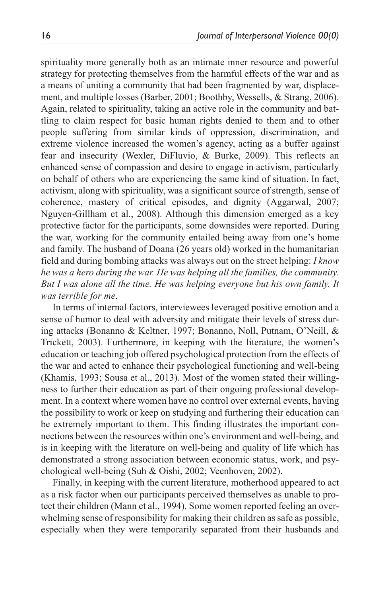spirituality more generally both as an intimate inner resource and powerful strategy for protecting themselves from the harmful effects of the war and as a means of uniting a community that had been fragmented by war, displacement, and multiple losses (Barber, 2001; Boothby, Wessells, & Strang, 2006). Again, related to spirituality, taking an active role in the community and battling to claim respect for basic human rights denied to them and to other people suffering from similar kinds of oppression, discrimination, and extreme violence increased the women's agency, acting as a buffer against fear and insecurity (Wexler, DiFluvio, & Burke, 2009). This reflects an enhanced sense of compassion and desire to engage in activism, particularly on behalf of others who are experiencing the same kind of situation. In fact, activism, along with spirituality, was a significant source of strength, sense of coherence, mastery of critical episodes, and dignity (Aggarwal, 2007; Nguyen-Gillham et al., 2008). Although this dimension emerged as a key protective factor for the participants, some downsides were reported. During the war, working for the community entailed being away from one's home and family. The husband of Doana (26 years old) worked in the humanitarian field and during bombing attacks was always out on the street helping: *I know he was a hero during the war. He was helping all the families, the community.*  But I was alone all the time. He was helping everyone but his own family. It *was terrible for me*.

In terms of internal factors, interviewees leveraged positive emotion and a sense of humor to deal with adversity and mitigate their levels of stress during attacks (Bonanno & Keltner, 1997; Bonanno, Noll, Putnam, O'Neill, & Trickett, 2003). Furthermore, in keeping with the literature, the women's education or teaching job offered psychological protection from the effects of the war and acted to enhance their psychological functioning and well-being (Khamis, 1993; Sousa et al., 2013). Most of the women stated their willingness to further their education as part of their ongoing professional development. In a context where women have no control over external events, having the possibility to work or keep on studying and furthering their education can be extremely important to them. This finding illustrates the important connections between the resources within one's environment and well-being, and is in keeping with the literature on well-being and quality of life which has demonstrated a strong association between economic status, work, and psychological well-being (Suh & Oishi, 2002; Veenhoven, 2002).

Finally, in keeping with the current literature, motherhood appeared to act as a risk factor when our participants perceived themselves as unable to protect their children (Mann et al., 1994). Some women reported feeling an overwhelming sense of responsibility for making their children as safe as possible, especially when they were temporarily separated from their husbands and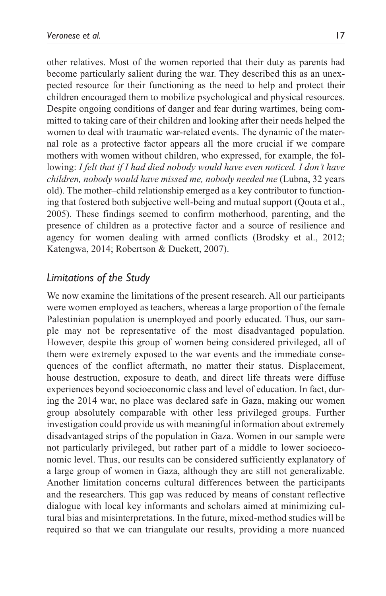other relatives. Most of the women reported that their duty as parents had become particularly salient during the war. They described this as an unexpected resource for their functioning as the need to help and protect their children encouraged them to mobilize psychological and physical resources. Despite ongoing conditions of danger and fear during wartimes, being committed to taking care of their children and looking after their needs helped the women to deal with traumatic war-related events. The dynamic of the maternal role as a protective factor appears all the more crucial if we compare mothers with women without children, who expressed, for example, the following: *I felt that if I had died nobody would have even noticed. I don't have children, nobody would have missed me, nobody needed me* (Lubna, 32 years old). The mother–child relationship emerged as a key contributor to functioning that fostered both subjective well-being and mutual support (Qouta et al., 2005). These findings seemed to confirm motherhood, parenting, and the presence of children as a protective factor and a source of resilience and agency for women dealing with armed conflicts (Brodsky et al., 2012; Katengwa, 2014; Robertson & Duckett, 2007).

# *Limitations of the Study*

We now examine the limitations of the present research. All our participants were women employed as teachers, whereas a large proportion of the female Palestinian population is unemployed and poorly educated. Thus, our sample may not be representative of the most disadvantaged population. However, despite this group of women being considered privileged, all of them were extremely exposed to the war events and the immediate consequences of the conflict aftermath, no matter their status. Displacement, house destruction, exposure to death, and direct life threats were diffuse experiences beyond socioeconomic class and level of education. In fact, during the 2014 war, no place was declared safe in Gaza, making our women group absolutely comparable with other less privileged groups. Further investigation could provide us with meaningful information about extremely disadvantaged strips of the population in Gaza. Women in our sample were not particularly privileged, but rather part of a middle to lower socioeconomic level. Thus, our results can be considered sufficiently explanatory of a large group of women in Gaza, although they are still not generalizable. Another limitation concerns cultural differences between the participants and the researchers. This gap was reduced by means of constant reflective dialogue with local key informants and scholars aimed at minimizing cultural bias and misinterpretations. In the future, mixed-method studies will be required so that we can triangulate our results, providing a more nuanced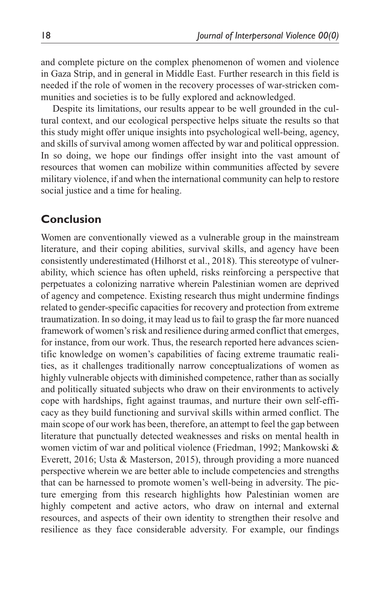and complete picture on the complex phenomenon of women and violence in Gaza Strip, and in general in Middle East. Further research in this field is needed if the role of women in the recovery processes of war-stricken communities and societies is to be fully explored and acknowledged.

Despite its limitations, our results appear to be well grounded in the cultural context, and our ecological perspective helps situate the results so that this study might offer unique insights into psychological well-being, agency, and skills of survival among women affected by war and political oppression. In so doing, we hope our findings offer insight into the vast amount of resources that women can mobilize within communities affected by severe military violence, if and when the international community can help to restore social justice and a time for healing.

## **Conclusion**

Women are conventionally viewed as a vulnerable group in the mainstream literature, and their coping abilities, survival skills, and agency have been consistently underestimated (Hilhorst et al., 2018). This stereotype of vulnerability, which science has often upheld, risks reinforcing a perspective that perpetuates a colonizing narrative wherein Palestinian women are deprived of agency and competence. Existing research thus might undermine findings related to gender-specific capacities for recovery and protection from extreme traumatization. In so doing, it may lead us to fail to grasp the far more nuanced framework of women's risk and resilience during armed conflict that emerges, for instance, from our work. Thus, the research reported here advances scientific knowledge on women's capabilities of facing extreme traumatic realities, as it challenges traditionally narrow conceptualizations of women as highly vulnerable objects with diminished competence, rather than as socially and politically situated subjects who draw on their environments to actively cope with hardships, fight against traumas, and nurture their own self-efficacy as they build functioning and survival skills within armed conflict. The main scope of our work has been, therefore, an attempt to feel the gap between literature that punctually detected weaknesses and risks on mental health in women victim of war and political violence (Friedman, 1992; Mankowski & Everett, 2016; Usta & Masterson, 2015), through providing a more nuanced perspective wherein we are better able to include competencies and strengths that can be harnessed to promote women's well-being in adversity. The picture emerging from this research highlights how Palestinian women are highly competent and active actors, who draw on internal and external resources, and aspects of their own identity to strengthen their resolve and resilience as they face considerable adversity. For example, our findings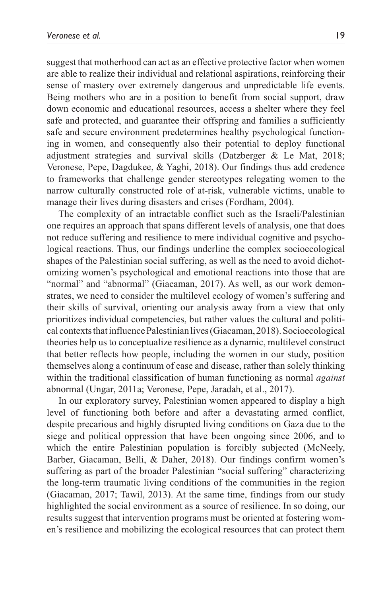suggest that motherhood can act as an effective protective factor when women are able to realize their individual and relational aspirations, reinforcing their sense of mastery over extremely dangerous and unpredictable life events. Being mothers who are in a position to benefit from social support, draw down economic and educational resources, access a shelter where they feel safe and protected, and guarantee their offspring and families a sufficiently safe and secure environment predetermines healthy psychological functioning in women, and consequently also their potential to deploy functional adjustment strategies and survival skills (Datzberger & Le Mat, 2018; Veronese, Pepe, Dagdukee, & Yaghi, 2018). Our findings thus add credence to frameworks that challenge gender stereotypes relegating women to the narrow culturally constructed role of at-risk, vulnerable victims, unable to manage their lives during disasters and crises (Fordham, 2004).

The complexity of an intractable conflict such as the Israeli/Palestinian one requires an approach that spans different levels of analysis, one that does not reduce suffering and resilience to mere individual cognitive and psychological reactions. Thus, our findings underline the complex socioecological shapes of the Palestinian social suffering, as well as the need to avoid dichotomizing women's psychological and emotional reactions into those that are "normal" and "abnormal" (Giacaman, 2017). As well, as our work demonstrates, we need to consider the multilevel ecology of women's suffering and their skills of survival, orienting our analysis away from a view that only prioritizes individual competencies, but rather values the cultural and political contexts that influence Palestinian lives (Giacaman, 2018). Socioecological theories help us to conceptualize resilience as a dynamic, multilevel construct that better reflects how people, including the women in our study, position themselves along a continuum of ease and disease, rather than solely thinking within the traditional classification of human functioning as normal *against* abnormal (Ungar, 2011a; Veronese, Pepe, Jaradah, et al., 2017).

In our exploratory survey, Palestinian women appeared to display a high level of functioning both before and after a devastating armed conflict, despite precarious and highly disrupted living conditions on Gaza due to the siege and political oppression that have been ongoing since 2006, and to which the entire Palestinian population is forcibly subjected (McNeely, Barber, Giacaman, Belli, & Daher, 2018). Our findings confirm women's suffering as part of the broader Palestinian "social suffering" characterizing the long-term traumatic living conditions of the communities in the region (Giacaman, 2017; Tawil, 2013). At the same time, findings from our study highlighted the social environment as a source of resilience. In so doing, our results suggest that intervention programs must be oriented at fostering women's resilience and mobilizing the ecological resources that can protect them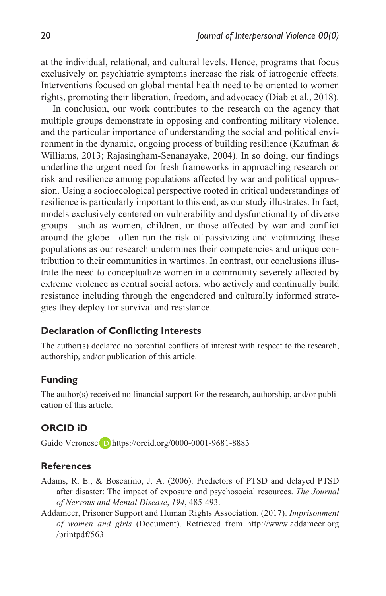at the individual, relational, and cultural levels. Hence, programs that focus exclusively on psychiatric symptoms increase the risk of iatrogenic effects. Interventions focused on global mental health need to be oriented to women rights, promoting their liberation, freedom, and advocacy (Diab et al., 2018).

In conclusion, our work contributes to the research on the agency that multiple groups demonstrate in opposing and confronting military violence, and the particular importance of understanding the social and political environment in the dynamic, ongoing process of building resilience (Kaufman & Williams, 2013; Rajasingham-Senanayake, 2004). In so doing, our findings underline the urgent need for fresh frameworks in approaching research on risk and resilience among populations affected by war and political oppression. Using a socioecological perspective rooted in critical understandings of resilience is particularly important to this end, as our study illustrates. In fact, models exclusively centered on vulnerability and dysfunctionality of diverse groups—such as women, children, or those affected by war and conflict around the globe—often run the risk of passivizing and victimizing these populations as our research undermines their competencies and unique contribution to their communities in wartimes. In contrast, our conclusions illustrate the need to conceptualize women in a community severely affected by extreme violence as central social actors, who actively and continually build resistance including through the engendered and culturally informed strategies they deploy for survival and resistance.

### **Declaration of Conflicting Interests**

The author(s) declared no potential conflicts of interest with respect to the research, authorship, and/or publication of this article.

### **Funding**

The author(s) received no financial support for the research, authorship, and/or publication of this article.

## **ORCID iD**

Guido Veronese **iD** <https://orcid.org/0000-0001-9681-8883>

### **References**

- Adams, R. E., & Boscarino, J. A. (2006). Predictors of PTSD and delayed PTSD after disaster: The impact of exposure and psychosocial resources. *The Journal of Nervous and Mental Disease*, *194*, 485-493.
- Addameer, Prisoner Support and Human Rights Association. (2017). *Imprisonment of women and girls* (Document). Retrieved from [http://www.addameer.org](http://www.addameer.org/printpdf/563) [/printpdf/563](http://www.addameer.org/printpdf/563)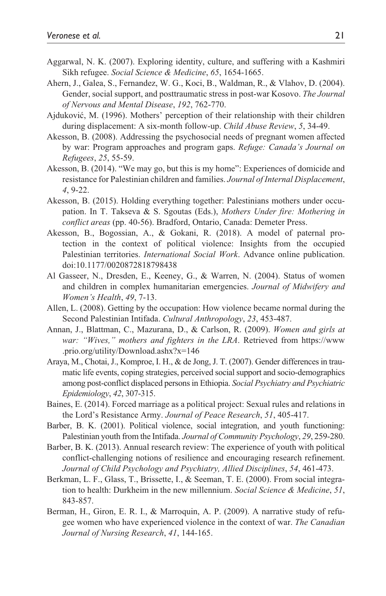- Aggarwal, N. K. (2007). Exploring identity, culture, and suffering with a Kashmiri Sikh refugee. *Social Science & Medicine*, *65*, 1654-1665.
- Ahern, J., Galea, S., Fernandez, W. G., Koci, B., Waldman, R., & Vlahov, D. (2004). Gender, social support, and posttraumatic stress in post-war Kosovo. *The Journal of Nervous and Mental Disease*, *192*, 762-770.
- Ajduković, M. (1996). Mothers' perception of their relationship with their children during displacement: A six-month follow-up. *Child Abuse Review*, *5*, 34-49.
- Akesson, B. (2008). Addressing the psychosocial needs of pregnant women affected by war: Program approaches and program gaps. *Refuge: Canada's Journal on Refugees*, *25*, 55-59.
- Akesson, B. (2014). "We may go, but this is my home": Experiences of domicide and resistance for Palestinian children and families. *Journal of Internal Displacement*, *4*, 9-22.
- Akesson, B. (2015). Holding everything together: Palestinians mothers under occupation. In T. Takseva & S. Sgoutas (Eds.), *Mothers Under fire: Mothering in conflict areas* (pp. 40-56). Bradford, Ontario, Canada: Demeter Press.
- Akesson, B., Bogossian, A., & Gokani, R. (2018). A model of paternal protection in the context of political violence: Insights from the occupied Palestinian territories. *International Social Work*. Advance online publication. doi:10.1177/0020872818798438
- Al Gasseer, N., Dresden, E., Keeney, G., & Warren, N. (2004). Status of women and children in complex humanitarian emergencies. *Journal of Midwifery and Women's Health*, *49*, 7-13.
- Allen, L. (2008). Getting by the occupation: How violence became normal during the Second Palestinian Intifada. *Cultural Anthropology*, *23*, 453-487.
- Annan, J., Blattman, C., Mazurana, D., & Carlson, R. (2009). *Women and girls at war: "Wives," mothers and fighters in the LRA*. Retrieved from [https://www](https://www.prio.org/utility/Download.ashx?x=146) [.prio.org/utility/Download.ashx?x=146](https://www.prio.org/utility/Download.ashx?x=146)
- Araya, M., Chotai, J., Komproe, I. H., & de Jong, J. T. (2007). Gender differences in traumatic life events, coping strategies, perceived social support and socio-demographics among post-conflict displaced persons in Ethiopia. *Social Psychiatry and Psychiatric Epidemiology*, *42*, 307-315.
- Baines, E. (2014). Forced marriage as a political project: Sexual rules and relations in the Lord's Resistance Army. *Journal of Peace Research*, *51*, 405-417.
- Barber, B. K. (2001). Political violence, social integration, and youth functioning: Palestinian youth from the Intifada. *Journal of Community Psychology*, *29*, 259-280.
- Barber, B. K. (2013). Annual research review: The experience of youth with political conflict-challenging notions of resilience and encouraging research refinement. *Journal of Child Psychology and Psychiatry, Allied Disciplines*, *54*, 461-473.
- Berkman, L. F., Glass, T., Brissette, I., & Seeman, T. E. (2000). From social integration to health: Durkheim in the new millennium. *Social Science & Medicine*, *51*, 843-857.
- Berman, H., Giron, E. R. I., & Marroquin, A. P. (2009). A narrative study of refugee women who have experienced violence in the context of war. *The Canadian Journal of Nursing Research*, *41*, 144-165.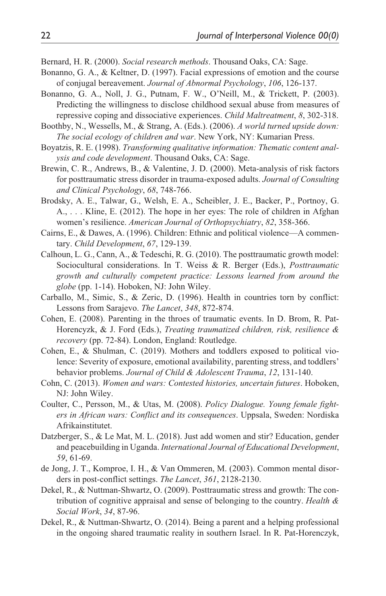Bernard, H. R. (2000). *Social research methods*. Thousand Oaks, CA: Sage.

- Bonanno, G. A., & Keltner, D. (1997). Facial expressions of emotion and the course of conjugal bereavement. *Journal of Abnormal Psychology*, *106*, 126-137.
- Bonanno, G. A., Noll, J. G., Putnam, F. W., O'Neill, M., & Trickett, P. (2003). Predicting the willingness to disclose childhood sexual abuse from measures of repressive coping and dissociative experiences. *Child Maltreatment*, *8*, 302-318.
- Boothby, N., Wessells, M., & Strang, A. (Eds.). (2006). *A world turned upside down: The social ecology of children and war*. New York, NY: Kumarian Press.
- Boyatzis, R. E. (1998). *Transforming qualitative information: Thematic content analysis and code development*. Thousand Oaks, CA: Sage.
- Brewin, C. R., Andrews, B., & Valentine, J. D. (2000). Meta-analysis of risk factors for posttraumatic stress disorder in trauma-exposed adults. *Journal of Consulting and Clinical Psychology*, *68*, 748-766.
- Brodsky, A. E., Talwar, G., Welsh, E. A., Scheibler, J. E., Backer, P., Portnoy, G. A., . . . Kline, E. (2012). The hope in her eyes: The role of children in Afghan women's resilience. *American Journal of Orthopsychiatry*, *82*, 358-366.
- Cairns, E., & Dawes, A. (1996). Children: Ethnic and political violence—A commentary. *Child Development*, *67*, 129-139.
- Calhoun, L. G., Cann, A., & Tedeschi, R. G. (2010). The posttraumatic growth model: Sociocultural considerations. In T. Weiss & R. Berger (Eds.), *Posttraumatic growth and culturally competent practice: Lessons learned from around the globe* (pp. 1-14). Hoboken, NJ: John Wiley.
- Carballo, M., Simic, S., & Zeric, D. (1996). Health in countries torn by conflict: Lessons from Sarajevo. *The Lancet*, *348*, 872-874.
- Cohen, E. (2008). Parenting in the throes of traumatic events. In D. Brom, R. Pat-Horencyzk, & J. Ford (Eds.), *Treating traumatized children, risk, resilience & recovery* (pp. 72-84). London, England: Routledge.
- Cohen, E., & Shulman, C. (2019). Mothers and toddlers exposed to political violence: Severity of exposure, emotional availability, parenting stress, and toddlers' behavior problems. *Journal of Child & Adolescent Trauma*, *12*, 131-140.
- Cohn, C. (2013). *Women and wars: Contested histories, uncertain futures*. Hoboken, NJ: John Wiley.
- Coulter, C., Persson, M., & Utas, M. (2008). *Policy Dialogue. Young female fighters in African wars: Conflict and its consequences*. Uppsala, Sweden: Nordiska Afrikainstitutet.
- Datzberger, S., & Le Mat, M. L. (2018). Just add women and stir? Education, gender and peacebuilding in Uganda. *International Journal of Educational Development*, *59*, 61-69.
- de Jong, J. T., Komproe, I. H., & Van Ommeren, M. (2003). Common mental disorders in post-conflict settings. *The Lancet*, *361*, 2128-2130.
- Dekel, R., & Nuttman-Shwartz, O. (2009). Posttraumatic stress and growth: The contribution of cognitive appraisal and sense of belonging to the country. *Health & Social Work*, *34*, 87-96.
- Dekel, R., & Nuttman-Shwartz, O. (2014). Being a parent and a helping professional in the ongoing shared traumatic reality in southern Israel. In R. Pat-Horenczyk,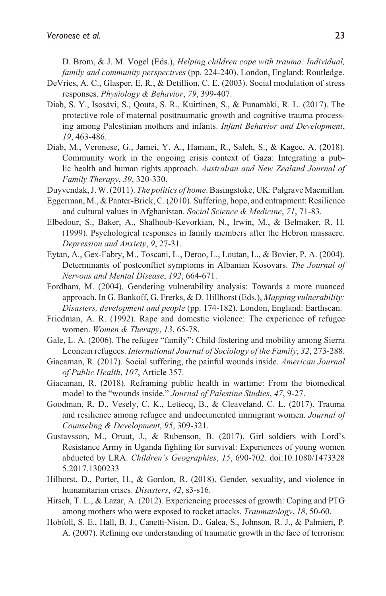D. Brom, & J. M. Vogel (Eds.), *Helping children cope with trauma: Individual, family and community perspectives* (pp. 224-240). London, England: Routledge.

- DeVries, A. C., Glasper, E. R., & Detillion, C. E. (2003). Social modulation of stress responses. *Physiology & Behavior*, *79*, 399-407.
- Diab, S. Y., Isosävi, S., Qouta, S. R., Kuittinen, S., & Punamäki, R. L. (2017). The protective role of maternal posttraumatic growth and cognitive trauma processing among Palestinian mothers and infants. *Infant Behavior and Development*, *19*, 463-486.
- Diab, M., Veronese, G., Jamei, Y. A., Hamam, R., Saleh, S., & Kagee, A. (2018). Community work in the ongoing crisis context of Gaza: Integrating a public health and human rights approach. *Australian and New Zealand Journal of Family Therapy*, *39*, 320-330.
- Duyvendak, J. W. (2011). *The politics of home*. Basingstoke, UK: Palgrave Macmillan.
- Eggerman, M., & Panter-Brick, C. (2010). Suffering, hope, and entrapment: Resilience and cultural values in Afghanistan. *Social Science & Medicine*, *71*, 71-83.
- Elbedour, S., Baker, A., Shalhoub-Kevorkian, N., Irwin, M., & Belmaker, R. H. (1999). Psychological responses in family members after the Hebron massacre. *Depression and Anxiety*, *9*, 27-31.
- Eytan, A., Gex-Fabry, M., Toscani, L., Deroo, L., Loutan, L., & Bovier, P. A. (2004). Determinants of postconflict symptoms in Albanian Kosovars. *The Journal of Nervous and Mental Disease*, *192*, 664-671.
- Fordham, M. (2004). Gendering vulnerability analysis: Towards a more nuanced approach. In G. Bankoff, G. Frerks, & D. Hillhorst (Eds.), *Mapping vulnerability: Disasters, development and people* (pp. 174-182). London, England: Earthscan.
- Friedman, A. R. (1992). Rape and domestic violence: The experience of refugee women. *Women & Therapy*, *13*, 65-78.
- Gale, L. A. (2006). The refugee "family": Child fostering and mobility among Sierra Leonean refugees. *International Journal of Sociology of the Family*, *32*, 273-288.
- Giacaman, R. (2017). Social suffering, the painful wounds inside. *American Journal of Public Health*, *107*, Article 357.
- Giacaman, R. (2018). Reframing public health in wartime: From the biomedical model to the "wounds inside." *Journal of Palestine Studies*, *47*, 9-27.
- Goodman, R. D., Vesely, C. K., Letiecq, B., & Cleaveland, C. L. (2017). Trauma and resilience among refugee and undocumented immigrant women. *Journal of Counseling & Development*, *95*, 309-321.
- Gustavsson, M., Oruut, J., & Rubenson, B. (2017). Girl soldiers with Lord's Resistance Army in Uganda fighting for survival: Experiences of young women abducted by LRA. *Children's Geographies*, *15*, 690-702. doi:10.1080/1473328 5.2017.1300233
- Hilhorst, D., Porter, H., & Gordon, R. (2018). Gender, sexuality, and violence in humanitarian crises. *Disasters*, *42*, s3-s16.
- Hirsch, T. L., & Lazar, A. (2012). Experiencing processes of growth: Coping and PTG among mothers who were exposed to rocket attacks. *Traumatology*, *18*, 50-60.
- Hobfoll, S. E., Hall, B. J., Canetti-Nisim, D., Galea, S., Johnson, R. J., & Palmieri, P. A. (2007). Refining our understanding of traumatic growth in the face of terrorism: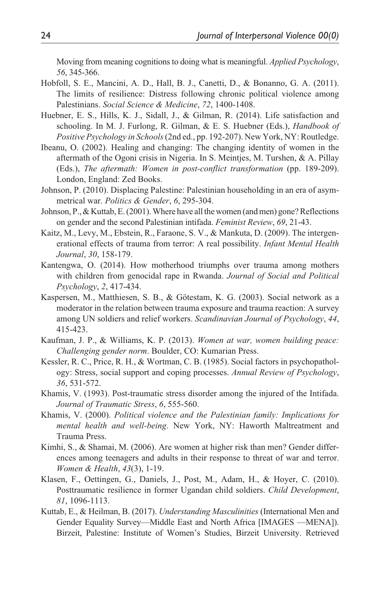Moving from meaning cognitions to doing what is meaningful. *Applied Psychology*, *56*, 345-366.

- Hobfoll, S. E., Mancini, A. D., Hall, B. J., Canetti, D., & Bonanno, G. A. (2011). The limits of resilience: Distress following chronic political violence among Palestinians. *Social Science & Medicine*, *72*, 1400-1408.
- Huebner, E. S., Hills, K. J., Sidall, J., & Gilman, R. (2014). Life satisfaction and schooling. In M. J. Furlong, R. Gilman, & E. S. Huebner (Eds.), *Handbook of Positive Psychology in Schools* (2nd ed., pp. 192-207). New York, NY: Routledge.
- Ibeanu, O. (2002). Healing and changing: The changing identity of women in the aftermath of the Ogoni crisis in Nigeria. In S. Meintjes, M. Turshen, & A. Pillay (Eds.), *The aftermath: Women in post-conflict transformation* (pp. 189-209). London, England: Zed Books.
- Johnson, P. (2010). Displacing Palestine: Palestinian householding in an era of asymmetrical war. *Politics & Gender*, *6*, 295-304.
- Johnson, P., & Kuttab, E. (2001). Where have all the women (and men) gone? Reflections on gender and the second Palestinian intifada. *Feminist Review*, *69*, 21-43.
- Kaitz, M., Levy, M., Ebstein, R., Faraone, S. V., & Mankuta, D. (2009). The intergenerational effects of trauma from terror: A real possibility. *Infant Mental Health Journal*, *30*, 158-179.
- Kantengwa, O. (2014). How motherhood triumphs over trauma among mothers with children from genocidal rape in Rwanda. *Journal of Social and Political Psychology*, *2*, 417-434.
- Kaspersen, M., Matthiesen, S. B., & Götestam, K. G. (2003). Social network as a moderator in the relation between trauma exposure and trauma reaction: A survey among UN soldiers and relief workers. *Scandinavian Journal of Psychology*, *44*, 415-423.
- Kaufman, J. P., & Williams, K. P. (2013). *Women at war, women building peace: Challenging gender norm*. Boulder, CO: Kumarian Press.
- Kessler, R. C., Price, R. H., & Wortman, C. B. (1985). Social factors in psychopathology: Stress, social support and coping processes. *Annual Review of Psychology*, *36*, 531-572.
- Khamis, V. (1993). Post-traumatic stress disorder among the injured of the Intifada. *Journal of Traumatic Stress*, *6*, 555-560.
- Khamis, V. (2000). *Political violence and the Palestinian family: Implications for mental health and well-being*. New York, NY: Haworth Maltreatment and Trauma Press.
- Kimhi, S., & Shamai, M. (2006). Are women at higher risk than men? Gender differences among teenagers and adults in their response to threat of war and terror. *Women & Health*, *43*(3), 1-19.
- Klasen, F., Oettingen, G., Daniels, J., Post, M., Adam, H., & Hoyer, C. (2010). Posttraumatic resilience in former Ugandan child soldiers. *Child Development*, *81*, 1096-1113.
- Kuttab, E., & Heilman, B. (2017). *Understanding Masculinities* (International Men and Gender Equality Survey—Middle East and North Africa [IMAGES —MENA]). Birzeit, Palestine: Institute of Women's Studies, Birzeit University. Retrieved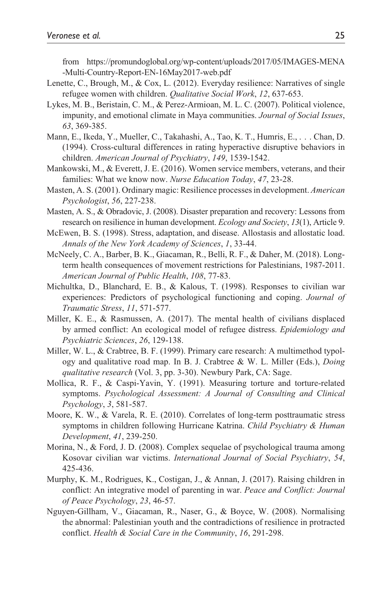from [https://promundoglobal.org/wp-content/uploads/2017/05/IMAGES-MENA](https://promundoglobal.org/wp-content/uploads/2017/05/IMAGES-MENA-Multi-Country-Report-EN-16May2017-web.pdf) [-Multi-Country-Report-EN-16May2017-web.pdf](https://promundoglobal.org/wp-content/uploads/2017/05/IMAGES-MENA-Multi-Country-Report-EN-16May2017-web.pdf)

- Lenette, C., Brough, M., & Cox, L. (2012). Everyday resilience: Narratives of single refugee women with children. *Qualitative Social Work*, *12*, 637-653.
- Lykes, M. B., Beristain, C. M., & Perez-Armioan, M. L. C. (2007). Political violence, impunity, and emotional climate in Maya communities. *Journal of Social Issues*, *63*, 369-385.
- Mann, E., Ikeda, Y., Mueller, C., Takahashi, A., Tao, K. T., Humris, E., . . . Chan, D. (1994). Cross-cultural differences in rating hyperactive disruptive behaviors in children. *American Journal of Psychiatry*, *149*, 1539-1542.
- Mankowski, M., & Everett, J. E. (2016). Women service members, veterans, and their families: What we know now. *Nurse Education Today*, *47*, 23-28.
- Masten, A. S. (2001). Ordinary magic: Resilience processes in development. *American Psychologist*, *56*, 227-238.
- Masten, A. S., & Obradovic, J. (2008). Disaster preparation and recovery: Lessons from research on resilience in human development. *Ecology and Society*, *13*(1), Article 9.
- McEwen, B. S. (1998). Stress, adaptation, and disease. Allostasis and allostatic load. *Annals of the New York Academy of Sciences*, *1*, 33-44.
- McNeely, C. A., Barber, B. K., Giacaman, R., Belli, R. F., & Daher, M. (2018). Longterm health consequences of movement restrictions for Palestinians, 1987-2011. *American Journal of Public Health*, *108*, 77-83.
- Michultka, D., Blanchard, E. B., & Kalous, T. (1998). Responses to civilian war experiences: Predictors of psychological functioning and coping. *Journal of Traumatic Stress*, *11*, 571-577.
- Miller, K. E., & Rasmussen, A. (2017). The mental health of civilians displaced by armed conflict: An ecological model of refugee distress. *Epidemiology and Psychiatric Sciences*, *26*, 129-138.
- Miller, W. L., & Crabtree, B. F. (1999). Primary care research: A multimethod typology and qualitative road map. In B. J. Crabtree & W. L. Miller (Eds.), *Doing qualitative research* (Vol. 3, pp. 3-30). Newbury Park, CA: Sage.
- Mollica, R. F., & Caspi-Yavin, Y. (1991). Measuring torture and torture-related symptoms. *Psychological Assessment: A Journal of Consulting and Clinical Psychology*, *3*, 581-587.
- Moore, K. W., & Varela, R. E. (2010). Correlates of long-term posttraumatic stress symptoms in children following Hurricane Katrina. *Child Psychiatry & Human Development*, *41*, 239-250.
- Morina, N., & Ford, J. D. (2008). Complex sequelae of psychological trauma among Kosovar civilian war victims. *International Journal of Social Psychiatry*, *54*, 425-436.
- Murphy, K. M., Rodrigues, K., Costigan, J., & Annan, J. (2017). Raising children in conflict: An integrative model of parenting in war. *Peace and Conflict: Journal of Peace Psychology*, *23*, 46-57.
- Nguyen-Gillham, V., Giacaman, R., Naser, G., & Boyce, W. (2008). Normalising the abnormal: Palestinian youth and the contradictions of resilience in protracted conflict. *Health & Social Care in the Community*, *16*, 291-298.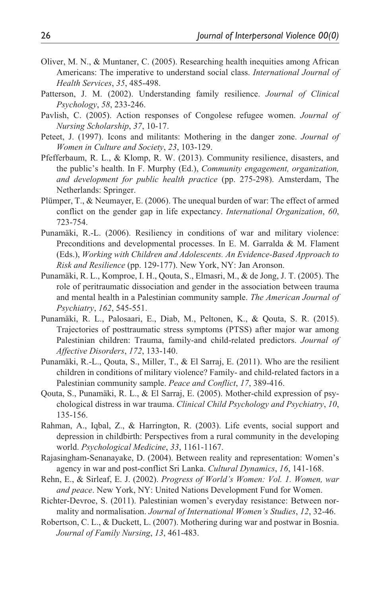- Oliver, M. N., & Muntaner, C. (2005). Researching health inequities among African Americans: The imperative to understand social class. *International Journal of Health Services*, *35*, 485-498.
- Patterson, J. M. (2002). Understanding family resilience. *Journal of Clinical Psychology*, *58*, 233-246.
- Pavlish, C. (2005). Action responses of Congolese refugee women. *Journal of Nursing Scholarship*, *37*, 10-17.
- Peteet, J. (1997). Icons and militants: Mothering in the danger zone. *Journal of Women in Culture and Society*, *23*, 103-129.
- Pfefferbaum, R. L., & Klomp, R. W. (2013). Community resilience, disasters, and the public's health. In F. Murphy (Ed.), *Community engagement, organization, and development for public health practice* (pp. 275-298). Amsterdam, The Netherlands: Springer.
- Plümper, T., & Neumayer, E. (2006). The unequal burden of war: The effect of armed conflict on the gender gap in life expectancy. *International Organization*, *60*, 723-754.
- Punamäki, R.-L. (2006). Resiliency in conditions of war and military violence: Preconditions and developmental processes. In E. M. Garralda & M. Flament (Eds.), *Working with Children and Adolescents. An Evidence-Based Approach to Risk and Resilience* (pp. 129-177). New York, NY: Jan Aronson.
- Punamäki, R. L., Komproe, I. H., Qouta, S., Elmasri, M., & de Jong, J. T. (2005). The role of peritraumatic dissociation and gender in the association between trauma and mental health in a Palestinian community sample. *The American Journal of Psychiatry*, *162*, 545-551.
- Punamäki, R. L., Palosaari, E., Diab, M., Peltonen, K., & Qouta, S. R. (2015). Trajectories of posttraumatic stress symptoms (PTSS) after major war among Palestinian children: Trauma, family-and child-related predictors. *Journal of Affective Disorders*, *172*, 133-140.
- Punamäki, R.-L., Qouta, S., Miller, T., & El Sarraj, E. (2011). Who are the resilient children in conditions of military violence? Family- and child-related factors in a Palestinian community sample. *Peace and Conflict*, *17*, 389-416.
- Qouta, S., Punamäki, R. L., & El Sarraj, E. (2005). Mother-child expression of psychological distress in war trauma. *Clinical Child Psychology and Psychiatry*, *10*, 135-156.
- Rahman, A., Iqbal, Z., & Harrington, R. (2003). Life events, social support and depression in childbirth: Perspectives from a rural community in the developing world. *Psychological Medicine*, *33*, 1161-1167.
- Rajasingham-Senanayake, D. (2004). Between reality and representation: Women's agency in war and post-conflict Sri Lanka. *Cultural Dynamics*, *16*, 141-168.
- Rehn, E., & Sirleaf, E. J. (2002). *Progress of World's Women: Vol. 1. Women, war and peace*. New York, NY: United Nations Development Fund for Women.
- Richter-Devroe, S. (2011). Palestinian women's everyday resistance: Between normality and normalisation. *Journal of International Women's Studies*, *12*, 32-46.
- Robertson, C. L., & Duckett, L. (2007). Mothering during war and postwar in Bosnia. *Journal of Family Nursing*, *13*, 461-483.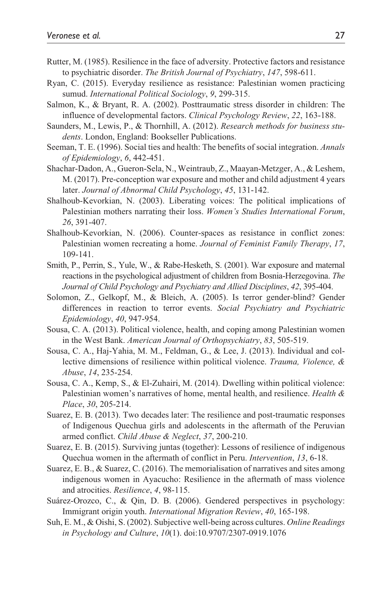- Rutter, M. (1985). Resilience in the face of adversity. Protective factors and resistance to psychiatric disorder. *The British Journal of Psychiatry*, *147*, 598-611.
- Ryan, C. (2015). Everyday resilience as resistance: Palestinian women practicing sumud. *International Political Sociology*, *9*, 299-315.
- Salmon, K., & Bryant, R. A. (2002). Posttraumatic stress disorder in children: The influence of developmental factors. *Clinical Psychology Review*, *22*, 163-188.
- Saunders, M., Lewis, P., & Thornhill, A. (2012). *Research methods for business students*. London, England: Bookseller Publications.
- Seeman, T. E. (1996). Social ties and health: The benefits of social integration. *Annals of Epidemiology*, *6*, 442-451.
- Shachar-Dadon, A., Gueron-Sela, N., Weintraub, Z., Maayan-Metzger, A., & Leshem, M. (2017). Pre-conception war exposure and mother and child adjustment 4 years later. *Journal of Abnormal Child Psychology*, *45*, 131-142.
- Shalhoub-Kevorkian, N. (2003). Liberating voices: The political implications of Palestinian mothers narrating their loss. *Women's Studies International Forum*, *26*, 391-407.
- Shalhoub-Kevorkian, N. (2006). Counter-spaces as resistance in conflict zones: Palestinian women recreating a home. *Journal of Feminist Family Therapy*, *17*, 109-141.
- Smith, P., Perrin, S., Yule, W., & Rabe-Hesketh, S. (2001). War exposure and maternal reactions in the psychological adjustment of children from Bosnia-Herzegovina. *The Journal of Child Psychology and Psychiatry and Allied Disciplines*, *42*, 395-404.
- Solomon, Z., Gelkopf, M., & Bleich, A. (2005). Is terror gender-blind? Gender differences in reaction to terror events. *Social Psychiatry and Psychiatric Epidemiology*, *40*, 947-954.
- Sousa, C. A. (2013). Political violence, health, and coping among Palestinian women in the West Bank. *American Journal of Orthopsychiatry*, *83*, 505-519.
- Sousa, C. A., Haj-Yahia, M. M., Feldman, G., & Lee, J. (2013). Individual and collective dimensions of resilience within political violence. *Trauma, Violence, & Abuse*, *14*, 235-254.
- Sousa, C. A., Kemp, S., & El-Zuhairi, M. (2014). Dwelling within political violence: Palestinian women's narratives of home, mental health, and resilience. *Health & Place*, *30*, 205-214.
- Suarez, E. B. (2013). Two decades later: The resilience and post-traumatic responses of Indigenous Quechua girls and adolescents in the aftermath of the Peruvian armed conflict. *Child Abuse & Neglect*, *37*, 200-210.
- Suarez, E. B. (2015). Surviving juntas (together): Lessons of resilience of indigenous Quechua women in the aftermath of conflict in Peru. *Intervention*, *13*, 6-18.
- Suarez, E. B., & Suarez, C. (2016). The memorialisation of narratives and sites among indigenous women in Ayacucho: Resilience in the aftermath of mass violence and atrocities. *Resilience*, *4*, 98-115.
- Suárez-Orozco, C., & Qin, D. B. (2006). Gendered perspectives in psychology: Immigrant origin youth. *International Migration Review*, *40*, 165-198.
- Suh, E. M., & Oishi, S. (2002). Subjective well-being across cultures. *Online Readings in Psychology and Culture*, *10*(1). doi:10.9707/2307-0919.1076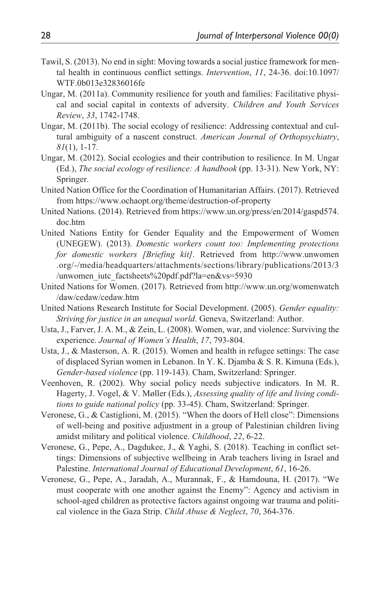- Tawil, S. (2013). No end in sight: Moving towards a social justice framework for mental health in continuous conflict settings. *Intervention*, *11*, 24-36. doi:10.1097/ WTF.0b013e32836016fe
- Ungar, M. (2011a). Community resilience for youth and families: Facilitative physical and social capital in contexts of adversity. *Children and Youth Services Review*, *33*, 1742-1748.
- Ungar, M. (2011b). The social ecology of resilience: Addressing contextual and cultural ambiguity of a nascent construct. *American Journal of Orthopsychiatry*, *81*(1), 1-17.
- Ungar, M. (2012). Social ecologies and their contribution to resilience. In M. Ungar (Ed.), *The social ecology of resilience: A handbook* (pp. 13-31). New York, NY: Springer.
- United Nation Office for the Coordination of Humanitarian Affairs. (2017). Retrieved from <https://www.ochaopt.org/theme/destruction-of-property>
- United Nations. (2014). Retrieved from [https://www.un.org/press/en/2014/gaspd574.](https://www.un.org/press/en/2014/gaspd574.doc.htm) [doc.htm](https://www.un.org/press/en/2014/gaspd574.doc.htm)
- United Nations Entity for Gender Equality and the Empowerment of Women (UNEGEW). (2013). *Domestic workers count too: Implementing protections for domestic workers [Briefing kit]*. Retrieved from [http://www.unwomen](http://www.unwomen.org/-/media/headquarters/attachments/sections/library/publications/2013/3/unwomen_iutc_factsheets%20pdf.pdf?la=en&vs=5930) [.org/-/media/headquarters/attachments/sections/library/publications/2013/3](http://www.unwomen.org/-/media/headquarters/attachments/sections/library/publications/2013/3/unwomen_iutc_factsheets%20pdf.pdf?la=en&vs=5930) [/unwomen\\_iutc\\_factsheets%20pdf.pdf?la=en&vs=5930](http://www.unwomen.org/-/media/headquarters/attachments/sections/library/publications/2013/3/unwomen_iutc_factsheets%20pdf.pdf?la=en&vs=5930)
- United Nations for Women. (2017). Retrieved from [http://www.un.org/womenwatch](http://www.un.org/womenwatch/daw/cedaw/cedaw.htm) [/daw/cedaw/cedaw.htm](http://www.un.org/womenwatch/daw/cedaw/cedaw.htm)
- United Nations Research Institute for Social Development. (2005). *Gender equality: Striving for justice in an unequal world*. Geneva, Switzerland: Author.
- Usta, J., Farver, J. A. M., & Zein, L. (2008). Women, war, and violence: Surviving the experience. *Journal of Women's Health*, *17*, 793-804.
- Usta, J., & Masterson, A. R. (2015). Women and health in refugee settings: The case of displaced Syrian women in Lebanon. In Y. K. Djamba & S. R. Kimuna (Eds.), *Gender-based violence* (pp. 119-143). Cham, Switzerland: Springer.
- Veenhoven, R. (2002). Why social policy needs subjective indicators. In M. R. Hagerty, J. Vogel, & V. Møller (Eds.), *Assessing quality of life and living conditions to guide national policy* (pp. 33-45). Cham, Switzerland: Springer.
- Veronese, G., & Castiglioni, M. (2015). "When the doors of Hell close": Dimensions of well-being and positive adjustment in a group of Palestinian children living amidst military and political violence. *Childhood*, *22*, 6-22.
- Veronese, G., Pepe, A., Dagdukee, J., & Yaghi, S. (2018). Teaching in conflict settings: Dimensions of subjective wellbeing in Arab teachers living in Israel and Palestine. *International Journal of Educational Development*, *61*, 16-26.
- Veronese, G., Pepe, A., Jaradah, A., Murannak, F., & Hamdouna, H. (2017). "We must cooperate with one another against the Enemy": Agency and activism in school-aged children as protective factors against ongoing war trauma and political violence in the Gaza Strip. *Child Abuse & Neglect*, *70*, 364-376.